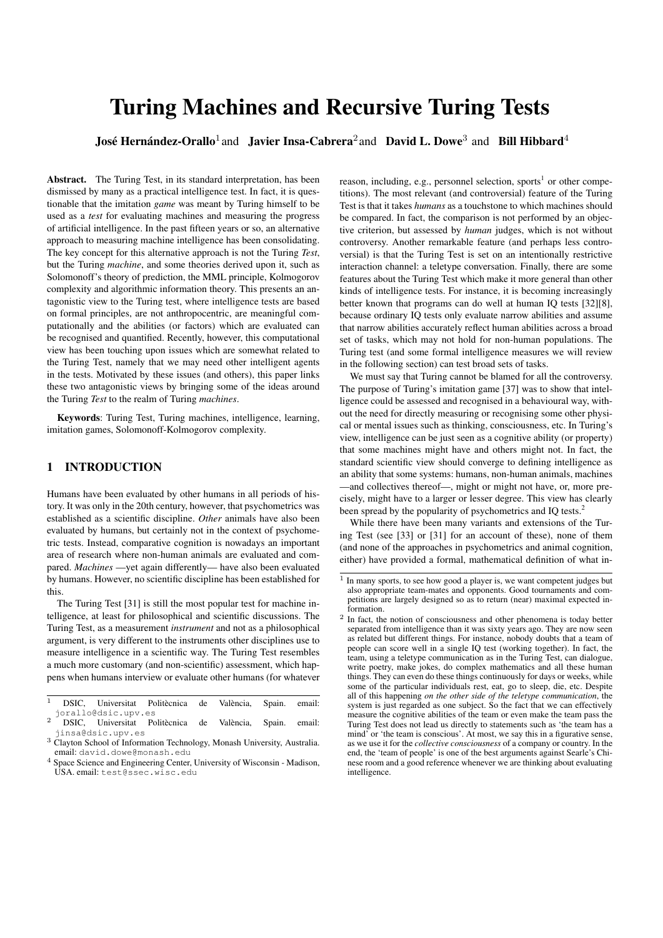# Turing Machines and Recursive Turing Tests

José Hernández-Orallo<sup>1</sup> and Javier Insa-Cabrera<sup>2</sup> and David L. Dowe<sup>3</sup> and Bill Hibbard<sup>4</sup>

Abstract. The Turing Test, in its standard interpretation, has been dismissed by many as a practical intelligence test. In fact, it is questionable that the imitation *game* was meant by Turing himself to be used as a *test* for evaluating machines and measuring the progress of artificial intelligence. In the past fifteen years or so, an alternative approach to measuring machine intelligence has been consolidating. The key concept for this alternative approach is not the Turing *Test*, but the Turing *machine*, and some theories derived upon it, such as Solomonoff's theory of prediction, the MML principle, Kolmogorov complexity and algorithmic information theory. This presents an antagonistic view to the Turing test, where intelligence tests are based on formal principles, are not anthropocentric, are meaningful computationally and the abilities (or factors) which are evaluated can be recognised and quantified. Recently, however, this computational view has been touching upon issues which are somewhat related to the Turing Test, namely that we may need other intelligent agents in the tests. Motivated by these issues (and others), this paper links these two antagonistic views by bringing some of the ideas around the Turing *Test* to the realm of Turing *machines*.

Keywords: Turing Test, Turing machines, intelligence, learning, imitation games, Solomonoff-Kolmogorov complexity.

## 1 INTRODUCTION

Humans have been evaluated by other humans in all periods of history. It was only in the 20th century, however, that psychometrics was established as a scientific discipline. *Other* animals have also been evaluated by humans, but certainly not in the context of psychometric tests. Instead, comparative cognition is nowadays an important area of research where non-human animals are evaluated and compared. *Machines* —yet again differently— have also been evaluated by humans. However, no scientific discipline has been established for this.

The Turing Test [31] is still the most popular test for machine intelligence, at least for philosophical and scientific discussions. The Turing Test, as a measurement *instrument* and not as a philosophical argument, is very different to the instruments other disciplines use to measure intelligence in a scientific way. The Turing Test resembles a much more customary (and non-scientific) assessment, which happens when humans interview or evaluate other humans (for whatever

- $\overline{1}$  DSIC, Universitat Politècnica de València, Spain. email: jorallo@dsic.upv.es
- $\frac{2}{\pi}$  DSIC. Universitat Politècnica de València. Spain. email: jinsa@dsic.upv.es
- <sup>3</sup> Clayton School of Information Technology, Monash University, Australia. email: david.dowe@monash.edu

reason, including, e.g., personnel selection, sports<sup>1</sup> or other competitions). The most relevant (and controversial) feature of the Turing Test is that it takes *humans* as a touchstone to which machines should be compared. In fact, the comparison is not performed by an objective criterion, but assessed by *human* judges, which is not without controversy. Another remarkable feature (and perhaps less controversial) is that the Turing Test is set on an intentionally restrictive interaction channel: a teletype conversation. Finally, there are some features about the Turing Test which make it more general than other kinds of intelligence tests. For instance, it is becoming increasingly better known that programs can do well at human IQ tests [32][8], because ordinary IQ tests only evaluate narrow abilities and assume that narrow abilities accurately reflect human abilities across a broad set of tasks, which may not hold for non-human populations. The Turing test (and some formal intelligence measures we will review in the following section) can test broad sets of tasks.

We must say that Turing cannot be blamed for all the controversy. The purpose of Turing's imitation game [37] was to show that intelligence could be assessed and recognised in a behavioural way, without the need for directly measuring or recognising some other physical or mental issues such as thinking, consciousness, etc. In Turing's view, intelligence can be just seen as a cognitive ability (or property) that some machines might have and others might not. In fact, the standard scientific view should converge to defining intelligence as an ability that some systems: humans, non-human animals, machines —and collectives thereof—, might or might not have, or, more precisely, might have to a larger or lesser degree. This view has clearly been spread by the popularity of psychometrics and IQ tests.<sup>2</sup>

While there have been many variants and extensions of the Turing Test (see [33] or [31] for an account of these), none of them (and none of the approaches in psychometrics and animal cognition, either) have provided a formal, mathematical definition of what in-

Space Science and Engineering Center, University of Wisconsin - Madison, USA. email: test@ssec.wisc.edu

<sup>&</sup>lt;sup>1</sup> In many sports, to see how good a player is, we want competent judges but also appropriate team-mates and opponents. Good tournaments and competitions are largely designed so as to return (near) maximal expected information.

<sup>&</sup>lt;sup>2</sup> In fact, the notion of consciousness and other phenomena is today better separated from intelligence than it was sixty years ago. They are now seen as related but different things. For instance, nobody doubts that a team of people can score well in a single IQ test (working together). In fact, the team, using a teletype communication as in the Turing Test, can dialogue, write poetry, make jokes, do complex mathematics and all these human things. They can even do these things continuously for days or weeks, while some of the particular individuals rest, eat, go to sleep, die, etc. Despite all of this happening *on the other side of the teletype communication*, the system is just regarded as one subject. So the fact that we can effectively measure the cognitive abilities of the team or even make the team pass the Turing Test does not lead us directly to statements such as 'the team has a mind' or 'the team is conscious'. At most, we say this in a figurative sense, as we use it for the *collective consciousness* of a company or country. In the end, the 'team of people' is one of the best arguments against Searle's Chinese room and a good reference whenever we are thinking about evaluating intelligence.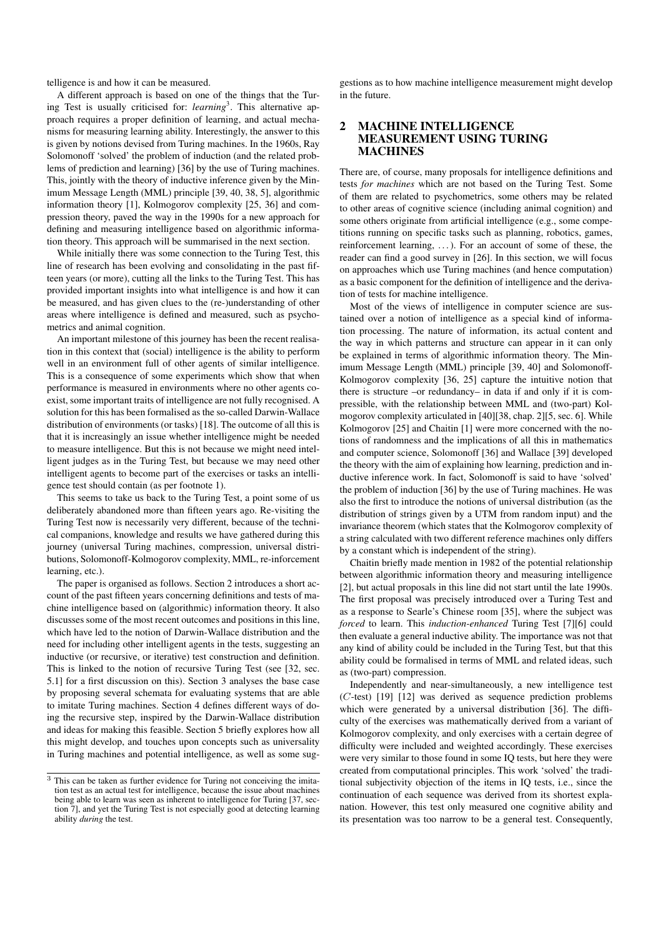telligence is and how it can be measured.

A different approach is based on one of the things that the Turing Test is usually criticised for: *learning*<sup>3</sup>. This alternative approach requires a proper definition of learning, and actual mechanisms for measuring learning ability. Interestingly, the answer to this is given by notions devised from Turing machines. In the 1960s, Ray Solomonoff 'solved' the problem of induction (and the related problems of prediction and learning) [36] by the use of Turing machines. This, jointly with the theory of inductive inference given by the Minimum Message Length (MML) principle [39, 40, 38, 5], algorithmic information theory [1], Kolmogorov complexity [25, 36] and compression theory, paved the way in the 1990s for a new approach for defining and measuring intelligence based on algorithmic information theory. This approach will be summarised in the next section.

While initially there was some connection to the Turing Test, this line of research has been evolving and consolidating in the past fifteen years (or more), cutting all the links to the Turing Test. This has provided important insights into what intelligence is and how it can be measured, and has given clues to the (re-)understanding of other areas where intelligence is defined and measured, such as psychometrics and animal cognition.

An important milestone of this journey has been the recent realisation in this context that (social) intelligence is the ability to perform well in an environment full of other agents of similar intelligence. This is a consequence of some experiments which show that when performance is measured in environments where no other agents coexist, some important traits of intelligence are not fully recognised. A solution for this has been formalised as the so-called Darwin-Wallace distribution of environments (or tasks) [18]. The outcome of all this is that it is increasingly an issue whether intelligence might be needed to measure intelligence. But this is not because we might need intelligent judges as in the Turing Test, but because we may need other intelligent agents to become part of the exercises or tasks an intelligence test should contain (as per footnote 1).

This seems to take us back to the Turing Test, a point some of us deliberately abandoned more than fifteen years ago. Re-visiting the Turing Test now is necessarily very different, because of the technical companions, knowledge and results we have gathered during this journey (universal Turing machines, compression, universal distributions, Solomonoff-Kolmogorov complexity, MML, re-inforcement learning, etc.).

The paper is organised as follows. Section 2 introduces a short account of the past fifteen years concerning definitions and tests of machine intelligence based on (algorithmic) information theory. It also discusses some of the most recent outcomes and positions in this line, which have led to the notion of Darwin-Wallace distribution and the need for including other intelligent agents in the tests, suggesting an inductive (or recursive, or iterative) test construction and definition. This is linked to the notion of recursive Turing Test (see [32, sec. 5.1] for a first discussion on this). Section 3 analyses the base case by proposing several schemata for evaluating systems that are able to imitate Turing machines. Section 4 defines different ways of doing the recursive step, inspired by the Darwin-Wallace distribution and ideas for making this feasible. Section 5 briefly explores how all this might develop, and touches upon concepts such as universality in Turing machines and potential intelligence, as well as some sug-

gestions as to how machine intelligence measurement might develop in the future.

#### 2 MACHINE INTELLIGENCE MEASUREMENT USING TURING MACHINES

There are, of course, many proposals for intelligence definitions and tests *for machines* which are not based on the Turing Test. Some of them are related to psychometrics, some others may be related to other areas of cognitive science (including animal cognition) and some others originate from artificial intelligence (e.g., some competitions running on specific tasks such as planning, robotics, games, reinforcement learning, . . . ). For an account of some of these, the reader can find a good survey in [26]. In this section, we will focus on approaches which use Turing machines (and hence computation) as a basic component for the definition of intelligence and the derivation of tests for machine intelligence.

Most of the views of intelligence in computer science are sustained over a notion of intelligence as a special kind of information processing. The nature of information, its actual content and the way in which patterns and structure can appear in it can only be explained in terms of algorithmic information theory. The Minimum Message Length (MML) principle [39, 40] and Solomonoff-Kolmogorov complexity [36, 25] capture the intuitive notion that there is structure –or redundancy– in data if and only if it is compressible, with the relationship between MML and (two-part) Kolmogorov complexity articulated in [40][38, chap. 2][5, sec. 6]. While Kolmogorov [25] and Chaitin [1] were more concerned with the notions of randomness and the implications of all this in mathematics and computer science, Solomonoff [36] and Wallace [39] developed the theory with the aim of explaining how learning, prediction and inductive inference work. In fact, Solomonoff is said to have 'solved' the problem of induction [36] by the use of Turing machines. He was also the first to introduce the notions of universal distribution (as the distribution of strings given by a UTM from random input) and the invariance theorem (which states that the Kolmogorov complexity of a string calculated with two different reference machines only differs by a constant which is independent of the string).

Chaitin briefly made mention in 1982 of the potential relationship between algorithmic information theory and measuring intelligence [2], but actual proposals in this line did not start until the late 1990s. The first proposal was precisely introduced over a Turing Test and as a response to Searle's Chinese room [35], where the subject was *forced* to learn. This *induction-enhanced* Turing Test [7][6] could then evaluate a general inductive ability. The importance was not that any kind of ability could be included in the Turing Test, but that this ability could be formalised in terms of MML and related ideas, such as (two-part) compression.

Independently and near-simultaneously, a new intelligence test (C-test) [19] [12] was derived as sequence prediction problems which were generated by a universal distribution [36]. The difficulty of the exercises was mathematically derived from a variant of Kolmogorov complexity, and only exercises with a certain degree of difficulty were included and weighted accordingly. These exercises were very similar to those found in some IQ tests, but here they were created from computational principles. This work 'solved' the traditional subjectivity objection of the items in IQ tests, i.e., since the continuation of each sequence was derived from its shortest explanation. However, this test only measured one cognitive ability and its presentation was too narrow to be a general test. Consequently,

 $\frac{3}{3}$  This can be taken as further evidence for Turing not conceiving the imitation test as an actual test for intelligence, because the issue about machines being able to learn was seen as inherent to intelligence for Turing [37, section 7], and yet the Turing Test is not especially good at detecting learning ability *during* the test.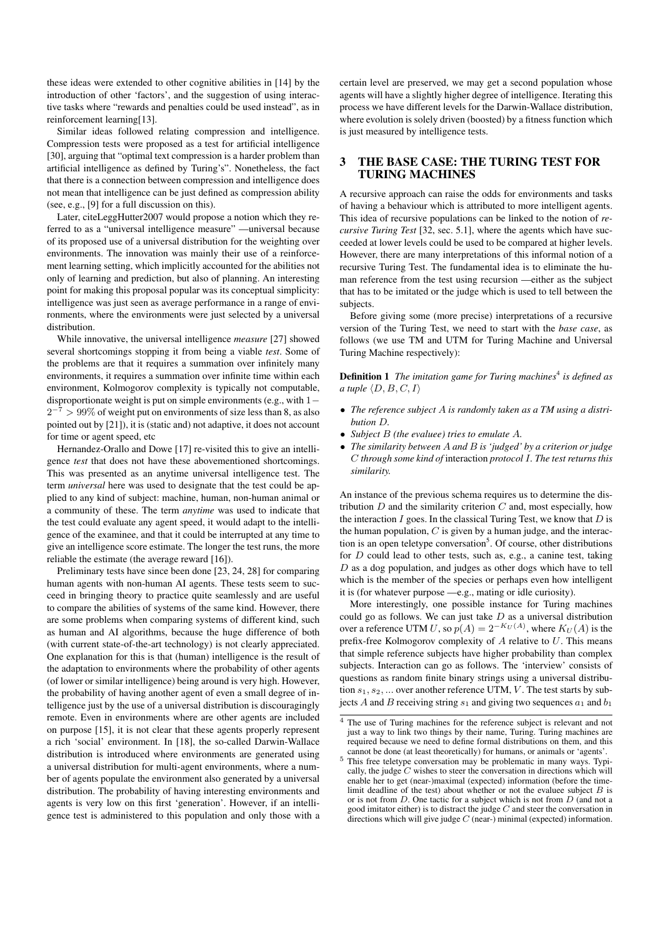these ideas were extended to other cognitive abilities in [14] by the introduction of other 'factors', and the suggestion of using interactive tasks where "rewards and penalties could be used instead", as in reinforcement learning[13].

Similar ideas followed relating compression and intelligence. Compression tests were proposed as a test for artificial intelligence [30], arguing that "optimal text compression is a harder problem than artificial intelligence as defined by Turing's". Nonetheless, the fact that there is a connection between compression and intelligence does not mean that intelligence can be just defined as compression ability (see, e.g., [9] for a full discussion on this).

Later, citeLeggHutter2007 would propose a notion which they referred to as a "universal intelligence measure" —universal because of its proposed use of a universal distribution for the weighting over environments. The innovation was mainly their use of a reinforcement learning setting, which implicitly accounted for the abilities not only of learning and prediction, but also of planning. An interesting point for making this proposal popular was its conceptual simplicity: intelligence was just seen as average performance in a range of environments, where the environments were just selected by a universal distribution.

While innovative, the universal intelligence *measure* [27] showed several shortcomings stopping it from being a viable *test*. Some of the problems are that it requires a summation over infinitely many environments, it requires a summation over infinite time within each environment, Kolmogorov complexity is typically not computable, disproportionate weight is put on simple environments (e.g., with 1−  $2^{-7}$  > 99% of weight put on environments of size less than 8, as also pointed out by [21]), it is (static and) not adaptive, it does not account for time or agent speed, etc

Hernandez-Orallo and Dowe [17] re-visited this to give an intelligence *test* that does not have these abovementioned shortcomings. This was presented as an anytime universal intelligence test. The term *universal* here was used to designate that the test could be applied to any kind of subject: machine, human, non-human animal or a community of these. The term *anytime* was used to indicate that the test could evaluate any agent speed, it would adapt to the intelligence of the examinee, and that it could be interrupted at any time to give an intelligence score estimate. The longer the test runs, the more reliable the estimate (the average reward [16]).

Preliminary tests have since been done [23, 24, 28] for comparing human agents with non-human AI agents. These tests seem to succeed in bringing theory to practice quite seamlessly and are useful to compare the abilities of systems of the same kind. However, there are some problems when comparing systems of different kind, such as human and AI algorithms, because the huge difference of both (with current state-of-the-art technology) is not clearly appreciated. One explanation for this is that (human) intelligence is the result of the adaptation to environments where the probability of other agents (of lower or similar intelligence) being around is very high. However, the probability of having another agent of even a small degree of intelligence just by the use of a universal distribution is discouragingly remote. Even in environments where are other agents are included on purpose [15], it is not clear that these agents properly represent a rich 'social' environment. In [18], the so-called Darwin-Wallace distribution is introduced where environments are generated using a universal distribution for multi-agent environments, where a number of agents populate the environment also generated by a universal distribution. The probability of having interesting environments and agents is very low on this first 'generation'. However, if an intelligence test is administered to this population and only those with a certain level are preserved, we may get a second population whose agents will have a slightly higher degree of intelligence. Iterating this process we have different levels for the Darwin-Wallace distribution, where evolution is solely driven (boosted) by a fitness function which is just measured by intelligence tests.

#### 3 THE BASE CASE: THE TURING TEST FOR TURING MACHINES

A recursive approach can raise the odds for environments and tasks of having a behaviour which is attributed to more intelligent agents. This idea of recursive populations can be linked to the notion of *recursive Turing Test* [32, sec. 5.1], where the agents which have succeeded at lower levels could be used to be compared at higher levels. However, there are many interpretations of this informal notion of a recursive Turing Test. The fundamental idea is to eliminate the human reference from the test using recursion —either as the subject that has to be imitated or the judge which is used to tell between the subjects.

Before giving some (more precise) interpretations of a recursive version of the Turing Test, we need to start with the *base case*, as follows (we use TM and UTM for Turing Machine and Universal Turing Machine respectively):

Definition 1 The imitation game for Turing machines<sup>4</sup> is defined as *a tuple*  $\langle D, B, C, I \rangle$ 

- *The reference subject* A *is randomly taken as a TM using a distribution* D*.*
- *Subject* B *(the evaluee) tries to emulate* A*.*
- *The similarity between* A *and* B *is 'judged' by a criterion or judge* C *through some kind of* interaction *protocol* I*. The test returns this similarity.*

An instance of the previous schema requires us to determine the distribution  $D$  and the similarity criterion  $C$  and, most especially, how the interaction  $I$  goes. In the classical Turing Test, we know that  $D$  is the human population,  $C$  is given by a human judge, and the interaction is an open teletype conversation<sup>5</sup>. Of course, other distributions for  $D$  could lead to other tests, such as, e.g., a canine test, taking  $D$  as a dog population, and judges as other dogs which have to tell which is the member of the species or perhaps even how intelligent it is (for whatever purpose —e.g., mating or idle curiosity).

More interestingly, one possible instance for Turing machines could go as follows. We can just take  $D$  as a universal distribution over a reference UTM U, so  $p(A) = 2^{-K_U(A)}$ , where  $K_U(A)$  is the prefix-free Kolmogorov complexity of  $A$  relative to  $U$ . This means that simple reference subjects have higher probability than complex subjects. Interaction can go as follows. The 'interview' consists of questions as random finite binary strings using a universal distribution  $s_1, s_2, \ldots$  over another reference UTM, V. The test starts by subjects A and B receiving string  $s_1$  and giving two sequences  $a_1$  and  $b_1$ 

<sup>&</sup>lt;sup>4</sup> The use of Turing machines for the reference subject is relevant and not just a way to link two things by their name, Turing. Turing machines are required because we need to define formal distributions on them, and this cannot be done (at least theoretically) for humans, or animals or 'agents'.

<sup>&</sup>lt;sup>5</sup> This free teletype conversation may be problematic in many ways. Typically, the judge  $C$  wishes to steer the conversation in directions which will enable her to get (near-)maximal (expected) information (before the timelimit deadline of the test) about whether or not the evaluee subject  $B$  is or is not from D. One tactic for a subject which is not from D (and not a good imitator either) is to distract the judge  $C$  and steer the conversation in directions which will give judge  $C$  (near-) minimal (expected) information.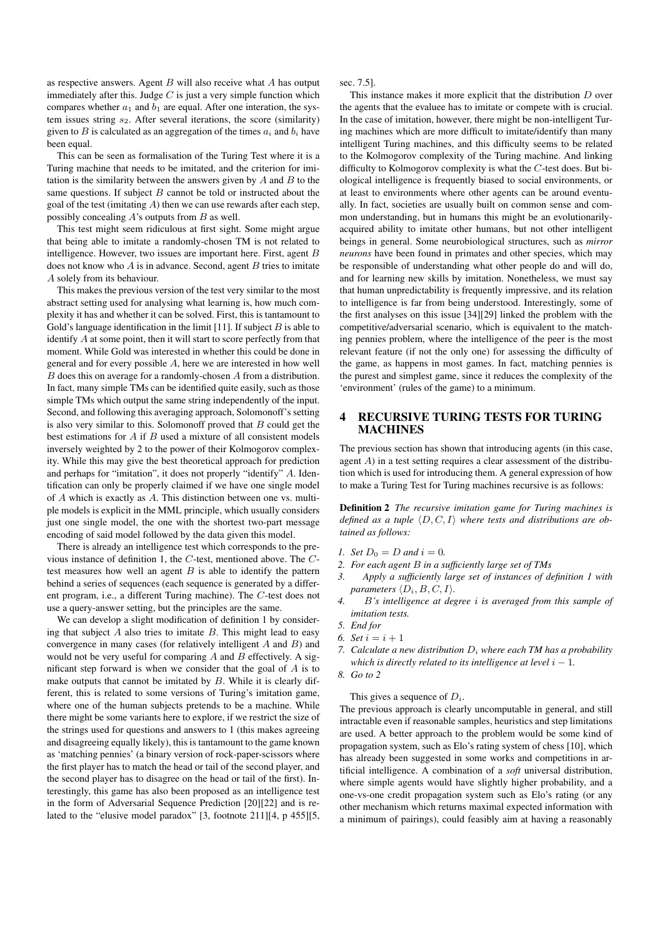as respective answers. Agent  $B$  will also receive what  $A$  has output immediately after this. Judge  $C$  is just a very simple function which compares whether  $a_1$  and  $b_1$  are equal. After one interation, the system issues string  $s_2$ . After several iterations, the score (similarity) given to B is calculated as an aggregation of the times  $a_i$  and  $b_i$  have been equal.

This can be seen as formalisation of the Turing Test where it is a Turing machine that needs to be imitated, and the criterion for imitation is the similarity between the answers given by  $A$  and  $B$  to the same questions. If subject  $B$  cannot be told or instructed about the goal of the test (imitating  $A$ ) then we can use rewards after each step, possibly concealing  $A$ 's outputs from  $B$  as well.

This test might seem ridiculous at first sight. Some might argue that being able to imitate a randomly-chosen TM is not related to intelligence. However, two issues are important here. First, agent B does not know who  $A$  is in advance. Second, agent  $B$  tries to imitate A solely from its behaviour.

This makes the previous version of the test very similar to the most abstract setting used for analysing what learning is, how much complexity it has and whether it can be solved. First, this is tantamount to Gold's language identification in the limit [11]. If subject  $B$  is able to identify A at some point, then it will start to score perfectly from that moment. While Gold was interested in whether this could be done in general and for every possible A, here we are interested in how well B does this on average for a randomly-chosen A from a distribution. In fact, many simple TMs can be identified quite easily, such as those simple TMs which output the same string independently of the input. Second, and following this averaging approach, Solomonoff's setting is also very similar to this. Solomonoff proved that  $B$  could get the best estimations for  $A$  if  $B$  used a mixture of all consistent models inversely weighted by 2 to the power of their Kolmogorov complexity. While this may give the best theoretical approach for prediction and perhaps for "imitation", it does not properly "identify" A. Identification can only be properly claimed if we have one single model of A which is exactly as A. This distinction between one vs. multiple models is explicit in the MML principle, which usually considers just one single model, the one with the shortest two-part message encoding of said model followed by the data given this model.

There is already an intelligence test which corresponds to the previous instance of definition 1, the C-test, mentioned above. The Ctest measures how well an agent  $B$  is able to identify the pattern behind a series of sequences (each sequence is generated by a different program, i.e., a different Turing machine). The C-test does not use a query-answer setting, but the principles are the same.

We can develop a slight modification of definition 1 by considering that subject  $A$  also tries to imitate  $B$ . This might lead to easy convergence in many cases (for relatively intelligent A and B) and would not be very useful for comparing  $A$  and  $B$  effectively. A significant step forward is when we consider that the goal of A is to make outputs that cannot be imitated by B. While it is clearly different, this is related to some versions of Turing's imitation game, where one of the human subjects pretends to be a machine. While there might be some variants here to explore, if we restrict the size of the strings used for questions and answers to 1 (this makes agreeing and disagreeing equally likely), this is tantamount to the game known as 'matching pennies' (a binary version of rock-paper-scissors where the first player has to match the head or tail of the second player, and the second player has to disagree on the head or tail of the first). Interestingly, this game has also been proposed as an intelligence test in the form of Adversarial Sequence Prediction [20][22] and is related to the "elusive model paradox" [3, footnote 211][4, p 455][5,

sec. 7.5].

This instance makes it more explicit that the distribution  $D$  over the agents that the evaluee has to imitate or compete with is crucial. In the case of imitation, however, there might be non-intelligent Turing machines which are more difficult to imitate/identify than many intelligent Turing machines, and this difficulty seems to be related to the Kolmogorov complexity of the Turing machine. And linking difficulty to Kolmogorov complexity is what the C-test does. But biological intelligence is frequently biased to social environments, or at least to environments where other agents can be around eventually. In fact, societies are usually built on common sense and common understanding, but in humans this might be an evolutionarilyacquired ability to imitate other humans, but not other intelligent beings in general. Some neurobiological structures, such as *mirror neurons* have been found in primates and other species, which may be responsible of understanding what other people do and will do, and for learning new skills by imitation. Nonetheless, we must say that human unpredictability is frequently impressive, and its relation to intelligence is far from being understood. Interestingly, some of the first analyses on this issue [34][29] linked the problem with the competitive/adversarial scenario, which is equivalent to the matching pennies problem, where the intelligence of the peer is the most relevant feature (if not the only one) for assessing the difficulty of the game, as happens in most games. In fact, matching pennies is the purest and simplest game, since it reduces the complexity of the 'environment' (rules of the game) to a minimum.

### 4 RECURSIVE TURING TESTS FOR TURING **MACHINES**

The previous section has shown that introducing agents (in this case, agent  $A$ ) in a test setting requires a clear assessment of the distribution which is used for introducing them. A general expression of how to make a Turing Test for Turing machines recursive is as follows:

Definition 2 *The recursive imitation game for Turing machines is defined as a tuple*  $\langle D, C, I \rangle$  *where tests and distributions are obtained as follows:*

- *1. Set*  $D_0 = D$  *and*  $i = 0$ *.*
- *2. For each agent* B *in a sufficiently large set of TMs*
- *3. Apply a sufficiently large set of instances of definition 1 with parameters*  $\langle D_i, B, C, I \rangle$ *.*
- *4.* B*'s intelligence at degree* i *is averaged from this sample of imitation tests.*
- *5. End for*
- *6. Set*  $i = i + 1$
- *7. Calculate a new distribution* D<sup>i</sup> *where each TM has a probability which is directly related to its intelligence at level*  $i - 1$ *.*
- *8. Go to 2*

#### This gives a sequence of  $D_i$ .

The previous approach is clearly uncomputable in general, and still intractable even if reasonable samples, heuristics and step limitations are used. A better approach to the problem would be some kind of propagation system, such as Elo's rating system of chess [10], which has already been suggested in some works and competitions in artificial intelligence. A combination of a *soft* universal distribution, where simple agents would have slightly higher probability, and a one-vs-one credit propagation system such as Elo's rating (or any other mechanism which returns maximal expected information with a minimum of pairings), could feasibly aim at having a reasonably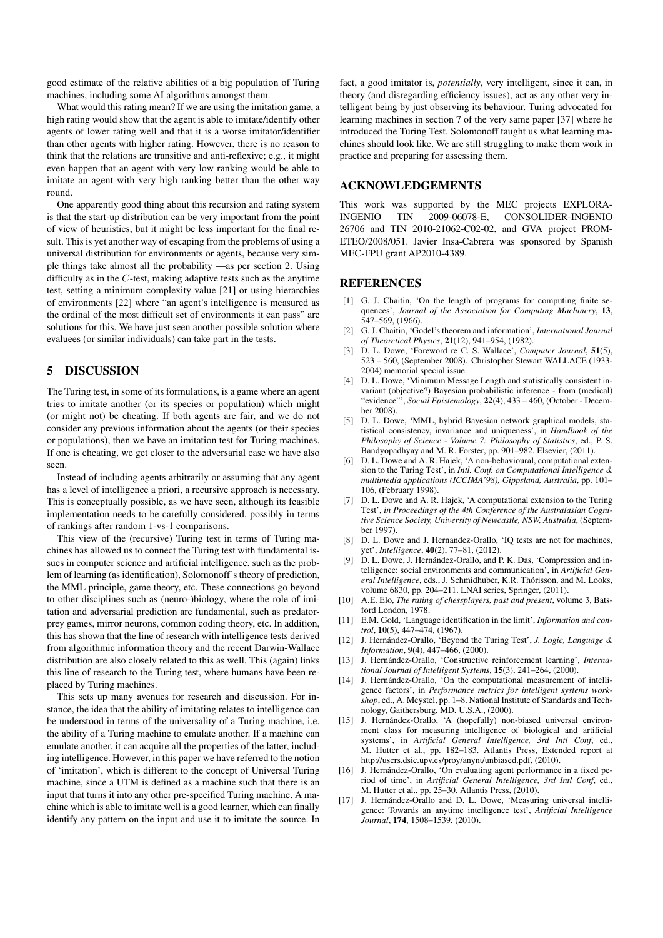good estimate of the relative abilities of a big population of Turing machines, including some AI algorithms amongst them.

What would this rating mean? If we are using the imitation game, a high rating would show that the agent is able to imitate/identify other agents of lower rating well and that it is a worse imitator/identifier than other agents with higher rating. However, there is no reason to think that the relations are transitive and anti-reflexive; e.g., it might even happen that an agent with very low ranking would be able to imitate an agent with very high ranking better than the other way round.

One apparently good thing about this recursion and rating system is that the start-up distribution can be very important from the point of view of heuristics, but it might be less important for the final result. This is yet another way of escaping from the problems of using a universal distribution for environments or agents, because very simple things take almost all the probability —as per section 2. Using difficulty as in the  $C$ -test, making adaptive tests such as the anytime test, setting a minimum complexity value [21] or using hierarchies of environments [22] where "an agent's intelligence is measured as the ordinal of the most difficult set of environments it can pass" are solutions for this. We have just seen another possible solution where evaluees (or similar individuals) can take part in the tests.

## 5 DISCUSSION

The Turing test, in some of its formulations, is a game where an agent tries to imitate another (or its species or population) which might (or might not) be cheating. If both agents are fair, and we do not consider any previous information about the agents (or their species or populations), then we have an imitation test for Turing machines. If one is cheating, we get closer to the adversarial case we have also seen.

Instead of including agents arbitrarily or assuming that any agent has a level of intelligence a priori, a recursive approach is necessary. This is conceptually possible, as we have seen, although its feasible implementation needs to be carefully considered, possibly in terms of rankings after random 1-vs-1 comparisons.

This view of the (recursive) Turing test in terms of Turing machines has allowed us to connect the Turing test with fundamental issues in computer science and artificial intelligence, such as the problem of learning (as identification), Solomonoff's theory of prediction, the MML principle, game theory, etc. These connections go beyond to other disciplines such as (neuro-)biology, where the role of imitation and adversarial prediction are fundamental, such as predatorprey games, mirror neurons, common coding theory, etc. In addition, this has shown that the line of research with intelligence tests derived from algorithmic information theory and the recent Darwin-Wallace distribution are also closely related to this as well. This (again) links this line of research to the Turing test, where humans have been replaced by Turing machines.

This sets up many avenues for research and discussion. For instance, the idea that the ability of imitating relates to intelligence can be understood in terms of the universality of a Turing machine, i.e. the ability of a Turing machine to emulate another. If a machine can emulate another, it can acquire all the properties of the latter, including intelligence. However, in this paper we have referred to the notion of 'imitation', which is different to the concept of Universal Turing machine, since a UTM is defined as a machine such that there is an input that turns it into any other pre-specified Turing machine. A machine which is able to imitate well is a good learner, which can finally identify any pattern on the input and use it to imitate the source. In fact, a good imitator is, *potentially*, very intelligent, since it can, in theory (and disregarding efficiency issues), act as any other very intelligent being by just observing its behaviour. Turing advocated for learning machines in section 7 of the very same paper [37] where he introduced the Turing Test. Solomonoff taught us what learning machines should look like. We are still struggling to make them work in practice and preparing for assessing them.

# ACKNOWLEDGEMENTS

This work was supported by the MEC projects EXPLORA-INGENIO TIN 2009-06078-E, CONSOLIDER-INGENIO 26706 and TIN 2010-21062-C02-02, and GVA project PROM-ETEO/2008/051. Javier Insa-Cabrera was sponsored by Spanish MEC-FPU grant AP2010-4389.

#### REFERENCES

- [1] G. J. Chaitin, 'On the length of programs for computing finite sequences', *Journal of the Association for Computing Machinery*, 13, 547–569, (1966).
- [2] G. J. Chaitin, 'Godel's theorem and information', *International Journal of Theoretical Physics*, 21(12), 941–954, (1982).
- [3] D. L. Dowe, 'Foreword re C. S. Wallace', *Computer Journal*, 51(5), 523 – 560, (September 2008). Christopher Stewart WALLACE (1933- 2004) memorial special issue.
- [4] D. L. Dowe, 'Minimum Message Length and statistically consistent invariant (objective?) Bayesian probabilistic inference - from (medical) "evidence"', *Social Epistemology*, 22(4), 433 – 460, (October - December 2008).
- [5] D. L. Dowe, 'MML, hybrid Bayesian network graphical models, statistical consistency, invariance and uniqueness', in *Handbook of the Philosophy of Science - Volume 7: Philosophy of Statistics*, ed., P. S. Bandyopadhyay and M. R. Forster, pp. 901–982. Elsevier, (2011).
- [6] D. L. Dowe and A. R. Hajek, 'A non-behavioural, computational extension to the Turing Test', in *Intl. Conf. on Computational Intelligence & multimedia applications (ICCIMA'98), Gippsland, Australia*, pp. 101– 106, (February 1998).
- [7] D. L. Dowe and A. R. Hajek, 'A computational extension to the Turing Test', *in Proceedings of the 4th Conference of the Australasian Cognitive Science Society, University of Newcastle, NSW, Australia*, (September 1997).
- [8] D. L. Dowe and J. Hernandez-Orallo, 'IQ tests are not for machines, yet', *Intelligence*, 40(2), 77–81, (2012).
- [9] D. L. Dowe, J. Hernández-Orallo, and P. K. Das, 'Compression and intelligence: social environments and communication', in *Artificial General Intelligence*, eds., J. Schmidhuber, K.R. Thórisson, and M. Looks, volume 6830, pp. 204–211. LNAI series, Springer, (2011).
- [10] A.E. Elo, *The rating of chessplayers, past and present*, volume 3, Batsford London, 1978.
- [11] E.M. Gold, 'Language identification in the limit', *Information and control*, 10(5), 447–474, (1967).
- [12] J. Hernández-Orallo, 'Beyond the Turing Test', *J. Logic, Language & Information*, 9(4), 447–466, (2000).
- [13] J. Hernández-Orallo, 'Constructive reinforcement learning', *International Journal of Intelligent Systems*, 15(3), 241–264, (2000).
- [14] J. Hernández-Orallo, 'On the computational measurement of intelligence factors', in *Performance metrics for intelligent systems workshop*, ed., A. Meystel, pp. 1–8. National Institute of Standards and Technology, Gaithersburg, MD, U.S.A., (2000).
- [15] J. Hernández-Orallo, 'A (hopefully) non-biased universal environment class for measuring intelligence of biological and artificial systems', in *Artificial General Intelligence, 3rd Intl Conf*, ed., M. Hutter et al., pp. 182–183. Atlantis Press, Extended report at http://users.dsic.upv.es/proy/anynt/unbiased.pdf, (2010).
- [16] J. Hernández-Orallo, 'On evaluating agent performance in a fixed period of time', in *Artificial General Intelligence, 3rd Intl Conf*, ed., M. Hutter et al., pp. 25–30. Atlantis Press, (2010).
- [17] J. Hernández-Orallo and D. L. Dowe, 'Measuring universal intelligence: Towards an anytime intelligence test', *Artificial Intelligence Journal*, 174, 1508–1539, (2010).